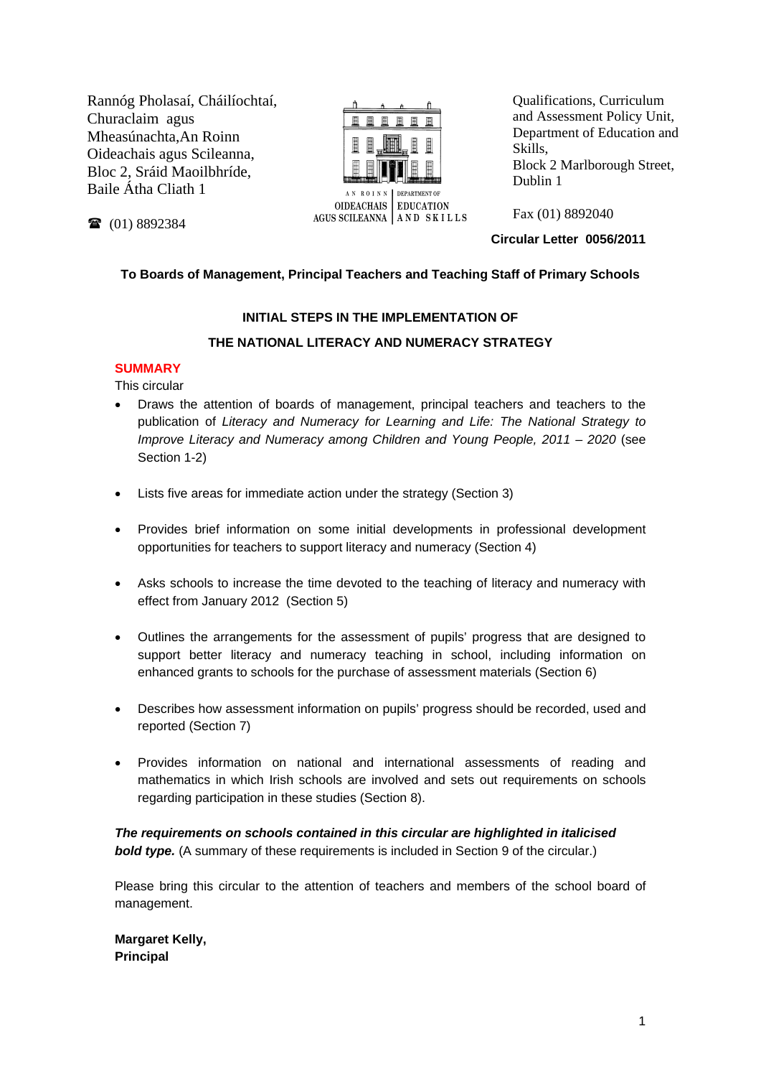Rannóg Pholasaí, Cháilíochtaí, Churaclaim agus Mheasúnachta,An Roinn Oideachais agus Scileanna, Bloc 2, Sráid Maoilbhríde, Baile Átha Cliath 1



Qualifications, Curriculum and Assessment Policy Unit, Department of Education and Skills, Block 2 Marlborough Street, Dublin 1

Fax (01) 8892040

**Circular Letter 0056/2011** 

## **To Boards of Management, Principal Teachers and Teaching Staff of Primary Schools**

## **INITIAL STEPS IN THE IMPLEMENTATION OF**

## **THE NATIONAL LITERACY AND NUMERACY STRATEGY**

## **SUMMARY**

(01) 8892384

This circular

- Draws the attention of boards of management, principal teachers and teachers to the publication of *Literacy and Numeracy for Learning and Life: The National Strategy to Improve Literacy and Numeracy among Children and Young People, 2011 – 2020* (see Section 1-2)
- Lists five areas for immediate action under the strategy (Section 3)
- Provides brief information on some initial developments in professional development opportunities for teachers to support literacy and numeracy (Section 4)
- Asks schools to increase the time devoted to the teaching of literacy and numeracy with effect from January 2012 (Section 5)
- Outlines the arrangements for the assessment of pupils' progress that are designed to support better literacy and numeracy teaching in school, including information on enhanced grants to schools for the purchase of assessment materials (Section 6)
- Describes how assessment information on pupils' progress should be recorded, used and reported (Section 7)
- Provides information on national and international assessments of reading and mathematics in which Irish schools are involved and sets out requirements on schools regarding participation in these studies (Section 8).

*The requirements on schools contained in this circular are highlighted in italicised*  **bold type.** (A summary of these requirements is included in Section 9 of the circular.)

Please bring this circular to the attention of teachers and members of the school board of management.

**Margaret Kelly, Principal**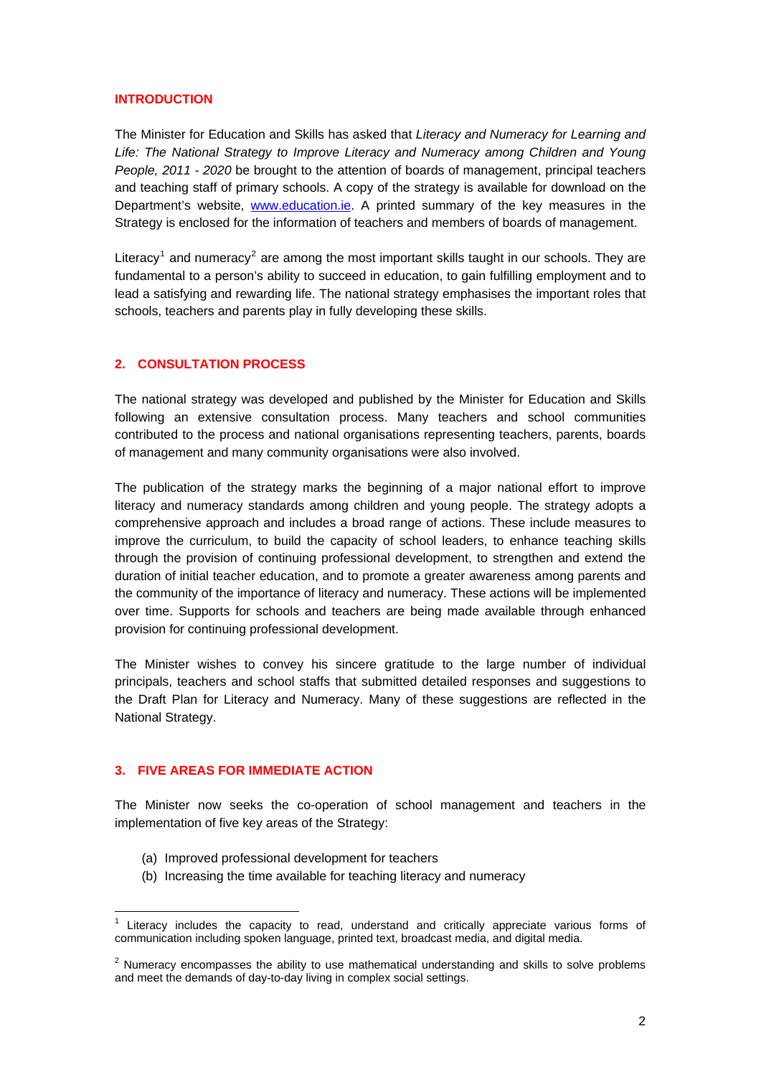### **INTRODUCTION**

The Minister for Education and Skills has asked that *Literacy and Numeracy for Learning and Life: The National Strategy to Improve Literacy and Numeracy among Children and Young People, 2011 - 2020* be brought to the attention of boards of management, principal teachers and teaching staff of primary schools. A copy of the strategy is available for download on the Department's website, [www.education.ie.](http://www.education.ie/) A printed summary of the key measures in the Strategy is enclosed for the information of teachers and members of boards of management.

Literacy<sup>[1](#page-1-0)</sup> and numeracy<sup>[2](#page-1-1)</sup> are among the most important skills taught in our schools. They are fundamental to a person's ability to succeed in education, to gain fulfilling employment and to lead a satisfying and rewarding life. The national strategy emphasises the important roles that schools, teachers and parents play in fully developing these skills.

## **2. CONSULTATION PROCESS**

The national strategy was developed and published by the Minister for Education and Skills following an extensive consultation process. Many teachers and school communities contributed to the process and national organisations representing teachers, parents, boards of management and many community organisations were also involved.

The publication of the strategy marks the beginning of a major national effort to improve literacy and numeracy standards among children and young people. The strategy adopts a comprehensive approach and includes a broad range of actions. These include measures to improve the curriculum, to build the capacity of school leaders, to enhance teaching skills through the provision of continuing professional development, to strengthen and extend the duration of initial teacher education, and to promote a greater awareness among parents and the community of the importance of literacy and numeracy. These actions will be implemented over time. Supports for schools and teachers are being made available through enhanced provision for continuing professional development.

The Minister wishes to convey his sincere gratitude to the large number of individual principals, teachers and school staffs that submitted detailed responses and suggestions to the Draft Plan for Literacy and Numeracy. Many of these suggestions are reflected in the National Strategy.

## **3. FIVE AREAS FOR IMMEDIATE ACTION**

The Minister now seeks the co-operation of school management and teachers in the implementation of five key areas of the Strategy:

- (a) Improved professional development for teachers
- (b) Increasing the time available for teaching literacy and numeracy

 $\overline{a}$  $1$  Literacy includes the capacity to read, understand and critically appreciate various forms of communication including spoken language, printed text, broadcast media, and digital media.

<span id="page-1-1"></span><span id="page-1-0"></span> $2$  Numeracy encompasses the ability to use mathematical understanding and skills to solve problems and meet the demands of day-to-day living in complex social settings.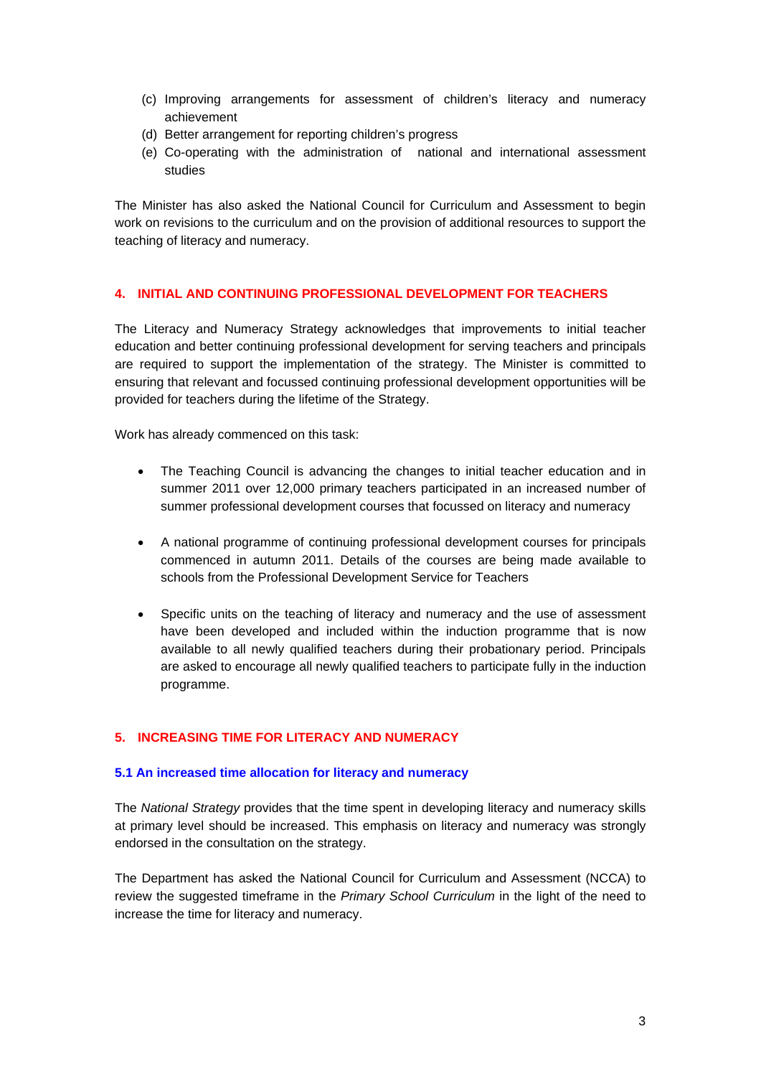- (c) Improving arrangements for assessment of children's literacy and numeracy achievement
- (d) Better arrangement for reporting children's progress
- (e) Co-operating with the administration of national and international assessment studies

The Minister has also asked the National Council for Curriculum and Assessment to begin work on revisions to the curriculum and on the provision of additional resources to support the teaching of literacy and numeracy.

## **4. INITIAL AND CONTINUING PROFESSIONAL DEVELOPMENT FOR TEACHERS**

The Literacy and Numeracy Strategy acknowledges that improvements to initial teacher education and better continuing professional development for serving teachers and principals are required to support the implementation of the strategy. The Minister is committed to ensuring that relevant and focussed continuing professional development opportunities will be provided for teachers during the lifetime of the Strategy.

Work has already commenced on this task:

- The Teaching Council is advancing the changes to initial teacher education and in summer 2011 over 12,000 primary teachers participated in an increased number of summer professional development courses that focussed on literacy and numeracy
- A national programme of continuing professional development courses for principals commenced in autumn 2011. Details of the courses are being made available to schools from the Professional Development Service for Teachers
- Specific units on the teaching of literacy and numeracy and the use of assessment have been developed and included within the induction programme that is now available to all newly qualified teachers during their probationary period. Principals are asked to encourage all newly qualified teachers to participate fully in the induction programme.

## **5. INCREASING TIME FOR LITERACY AND NUMERACY**

## **5.1 An increased time allocation for literacy and numeracy**

The *National Strategy* provides that the time spent in developing literacy and numeracy skills at primary level should be increased. This emphasis on literacy and numeracy was strongly endorsed in the consultation on the strategy.

The Department has asked the National Council for Curriculum and Assessment (NCCA) to review the suggested timeframe in the *Primary School Curriculum* in the light of the need to increase the time for literacy and numeracy.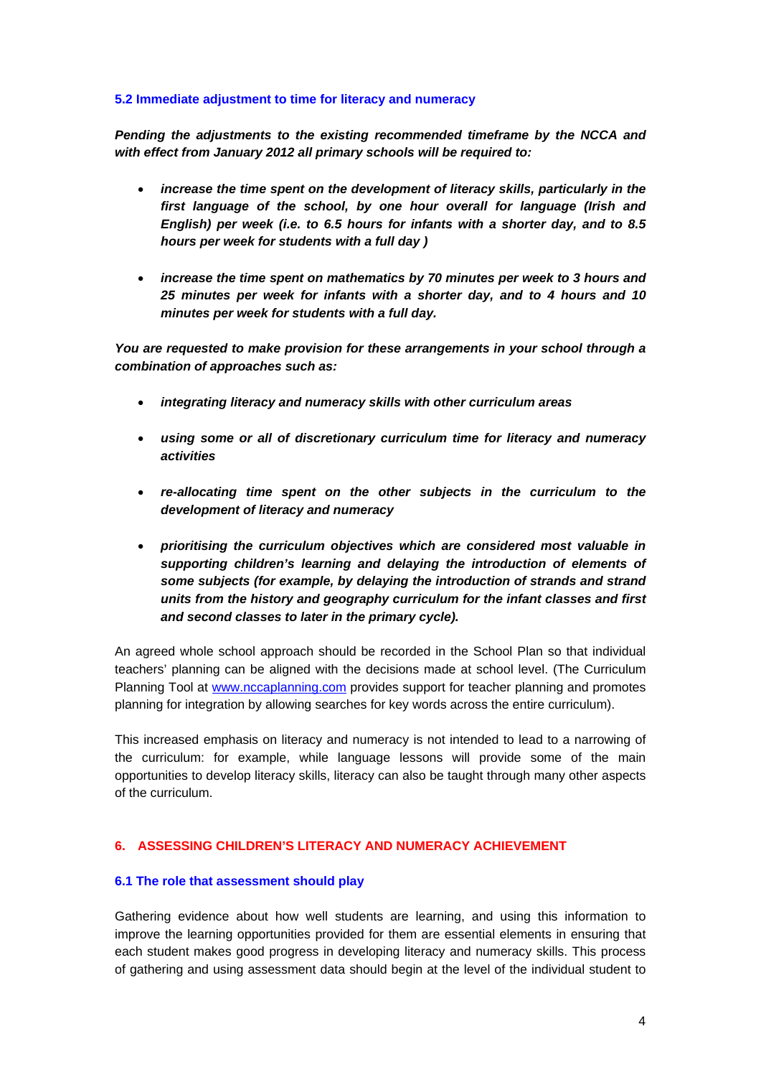### **5.2 Immediate adjustment to time for literacy and numeracy**

*Pending the adjustments to the existing recommended timeframe by the NCCA and with effect from January 2012 all primary schools will be required to:* 

- *increase the time spent on the development of literacy skills, particularly in the first language of the school, by one hour overall for language (Irish and English) per week (i.e. to 6.5 hours for infants with a shorter day, and to 8.5 hours per week for students with a full day )*
- *increase the time spent on mathematics by 70 minutes per week to 3 hours and 25 minutes per week for infants with a shorter day, and to 4 hours and 10 minutes per week for students with a full day.*

*You are requested to make provision for these arrangements in your school through a combination of approaches such as:* 

- *integrating literacy and numeracy skills with other curriculum areas*
- *using some or all of discretionary curriculum time for literacy and numeracy activities*
- *re-allocating time spent on the other subjects in the curriculum to the development of literacy and numeracy*
- *prioritising the curriculum objectives which are considered most valuable in supporting children's learning and delaying the introduction of elements of some subjects (for example, by delaying the introduction of strands and strand units from the history and geography curriculum for the infant classes and first and second classes to later in the primary cycle).*

An agreed whole school approach should be recorded in the School Plan so that individual teachers' planning can be aligned with the decisions made at school level. (The Curriculum Planning Tool at [www.nccaplanning.com](http://www.nccaplanning.com/) provides support for teacher planning and promotes planning for integration by allowing searches for key words across the entire curriculum).

This increased emphasis on literacy and numeracy is not intended to lead to a narrowing of the curriculum: for example, while language lessons will provide some of the main opportunities to develop literacy skills, literacy can also be taught through many other aspects of the curriculum.

## **6. ASSESSING CHILDREN'S LITERACY AND NUMERACY ACHIEVEMENT**

## **6.1 The role that assessment should play**

Gathering evidence about how well students are learning, and using this information to improve the learning opportunities provided for them are essential elements in ensuring that each student makes good progress in developing literacy and numeracy skills. This process of gathering and using assessment data should begin at the level of the individual student to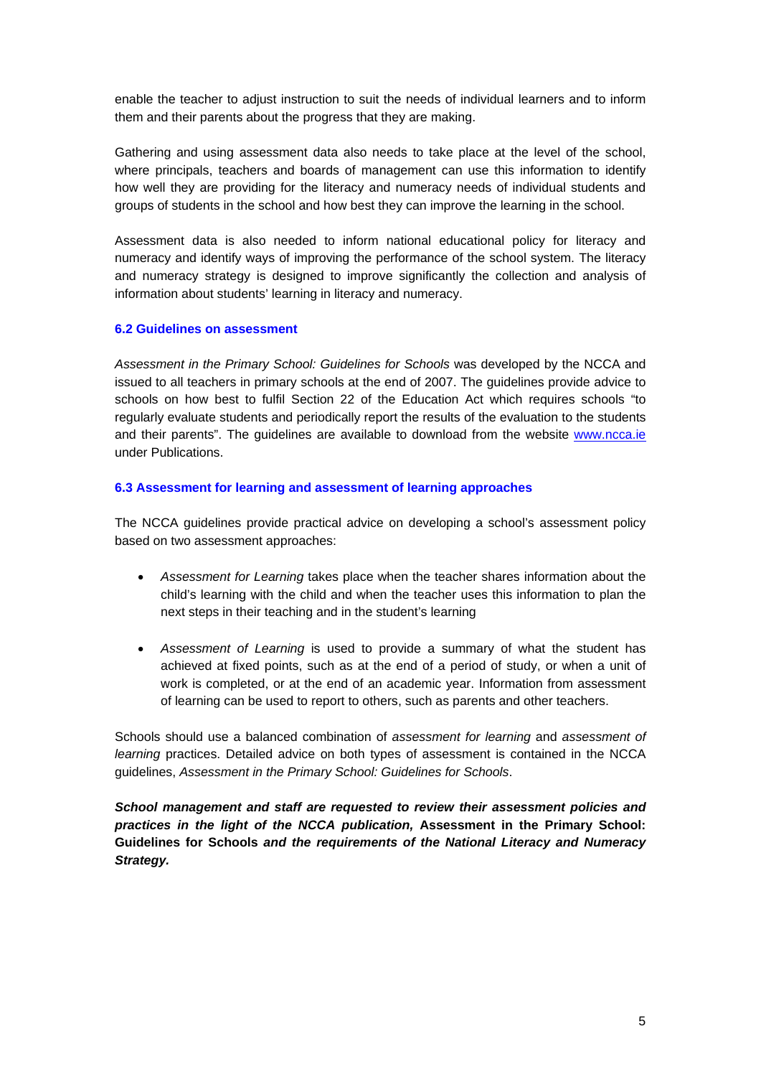enable the teacher to adjust instruction to suit the needs of individual learners and to inform them and their parents about the progress that they are making.

Gathering and using assessment data also needs to take place at the level of the school, where principals, teachers and boards of management can use this information to identify how well they are providing for the literacy and numeracy needs of individual students and groups of students in the school and how best they can improve the learning in the school.

Assessment data is also needed to inform national educational policy for literacy and numeracy and identify ways of improving the performance of the school system. The literacy and numeracy strategy is designed to improve significantly the collection and analysis of information about students' learning in literacy and numeracy.

## **6.2 Guidelines on assessment**

*Assessment in the Primary School: Guidelines for Schools* was developed by the NCCA and issued to all teachers in primary schools at the end of 2007. The guidelines provide advice to schools on how best to fulfil Section 22 of the Education Act which requires schools "to regularly evaluate students and periodically report the results of the evaluation to the students and their parents". The guidelines are available to download from the website [www.ncca.ie](http://www.ncca.ie/) under Publications.

### **6.3 Assessment for learning and assessment of learning approaches**

The NCCA guidelines provide practical advice on developing a school's assessment policy based on two assessment approaches:

- *Assessment for Learning* takes place when the teacher shares information about the child's learning with the child and when the teacher uses this information to plan the next steps in their teaching and in the student's learning
- *Assessment of Learning* is used to provide a summary of what the student has achieved at fixed points, such as at the end of a period of study, or when a unit of work is completed, or at the end of an academic year. Information from assessment of learning can be used to report to others, such as parents and other teachers.

Schools should use a balanced combination of *assessment for learning* and *assessment of learning* practices. Detailed advice on both types of assessment is contained in the NCCA guidelines, *Assessment in the Primary School: Guidelines for Schools*.

*School management and staff are requested to review their assessment policies and practices in the light of the NCCA publication,* **Assessment in the Primary School: Guidelines for Schools** *and the requirements of the National Literacy and Numeracy Strategy.*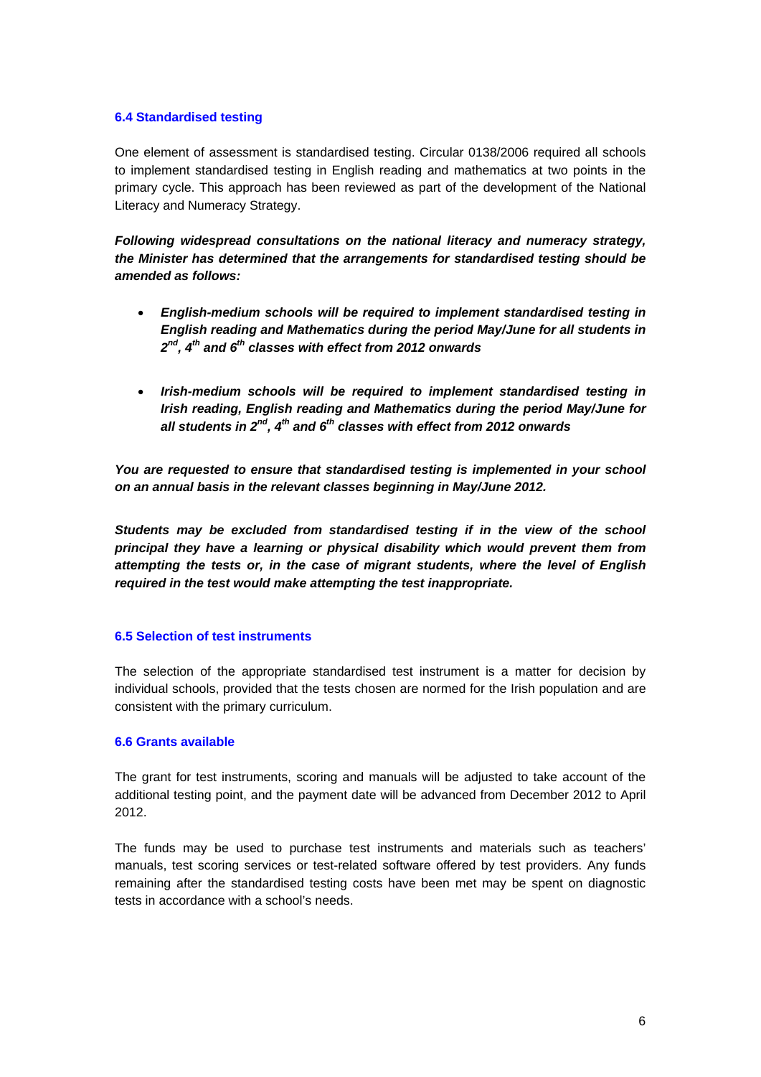### **6.4 Standardised testing**

One element of assessment is standardised testing. Circular 0138/2006 required all schools to implement standardised testing in English reading and mathematics at two points in the primary cycle. This approach has been reviewed as part of the development of the National Literacy and Numeracy Strategy.

*Following widespread consultations on the national literacy and numeracy strategy, the Minister has determined that the arrangements for standardised testing should be amended as follows:* 

- *English-medium schools will be required to implement standardised testing in English reading and Mathematics during the period May/June for all students in 2nd, 4th and 6th classes with effect from 2012 onwards*
- *Irish-medium schools will be required to implement standardised testing in Irish reading, English reading and Mathematics during the period May/June for all students in 2nd, 4th and 6th classes with effect from 2012 onwards*

*You are requested to ensure that standardised testing is implemented in your school on an annual basis in the relevant classes beginning in May/June 2012.* 

*Students may be excluded from standardised testing if in the view of the school principal they have a learning or physical disability which would prevent them from attempting the tests or, in the case of migrant students, where the level of English required in the test would make attempting the test inappropriate.* 

## **6.5 Selection of test instruments**

The selection of the appropriate standardised test instrument is a matter for decision by individual schools, provided that the tests chosen are normed for the Irish population and are consistent with the primary curriculum.

## **6.6 Grants available**

The grant for test instruments, scoring and manuals will be adjusted to take account of the additional testing point, and the payment date will be advanced from December 2012 to April 2012.

The funds may be used to purchase test instruments and materials such as teachers' manuals, test scoring services or test-related software offered by test providers. Any funds remaining after the standardised testing costs have been met may be spent on diagnostic tests in accordance with a school's needs.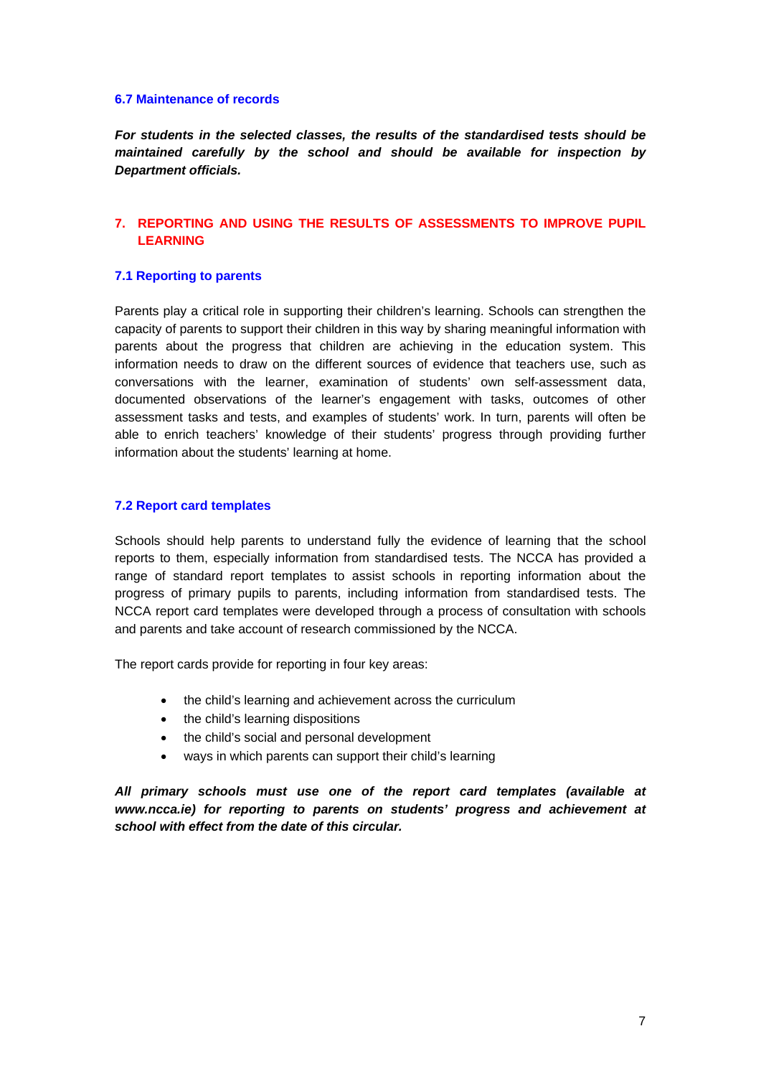#### **6.7 Maintenance of records**

*For students in the selected classes, the results of the standardised tests should be maintained carefully by the school and should be available for inspection by Department officials.* 

## **7. REPORTING AND USING THE RESULTS OF ASSESSMENTS TO IMPROVE PUPIL LEARNING**

#### **7.1 Reporting to parents**

Parents play a critical role in supporting their children's learning. Schools can strengthen the capacity of parents to support their children in this way by sharing meaningful information with parents about the progress that children are achieving in the education system. This information needs to draw on the different sources of evidence that teachers use, such as conversations with the learner, examination of students' own self-assessment data, documented observations of the learner's engagement with tasks, outcomes of other assessment tasks and tests, and examples of students' work. In turn, parents will often be able to enrich teachers' knowledge of their students' progress through providing further information about the students' learning at home.

#### **7.2 Report card templates**

Schools should help parents to understand fully the evidence of learning that the school reports to them, especially information from standardised tests. The NCCA has provided a range of standard report templates to assist schools in reporting information about the progress of primary pupils to parents, including information from standardised tests. The NCCA report card templates were developed through a process of consultation with schools and parents and take account of research commissioned by the NCCA.

The report cards provide for reporting in four key areas:

- the child's learning and achievement across the curriculum
- the child's learning dispositions
- the child's social and personal development
- ways in which parents can support their child's learning

*All primary schools must use one of the report card templates (available at [www.ncca.ie\)](http://www.ncca.ie/) for reporting to parents on students' progress and achievement at school with effect from the date of this circular.*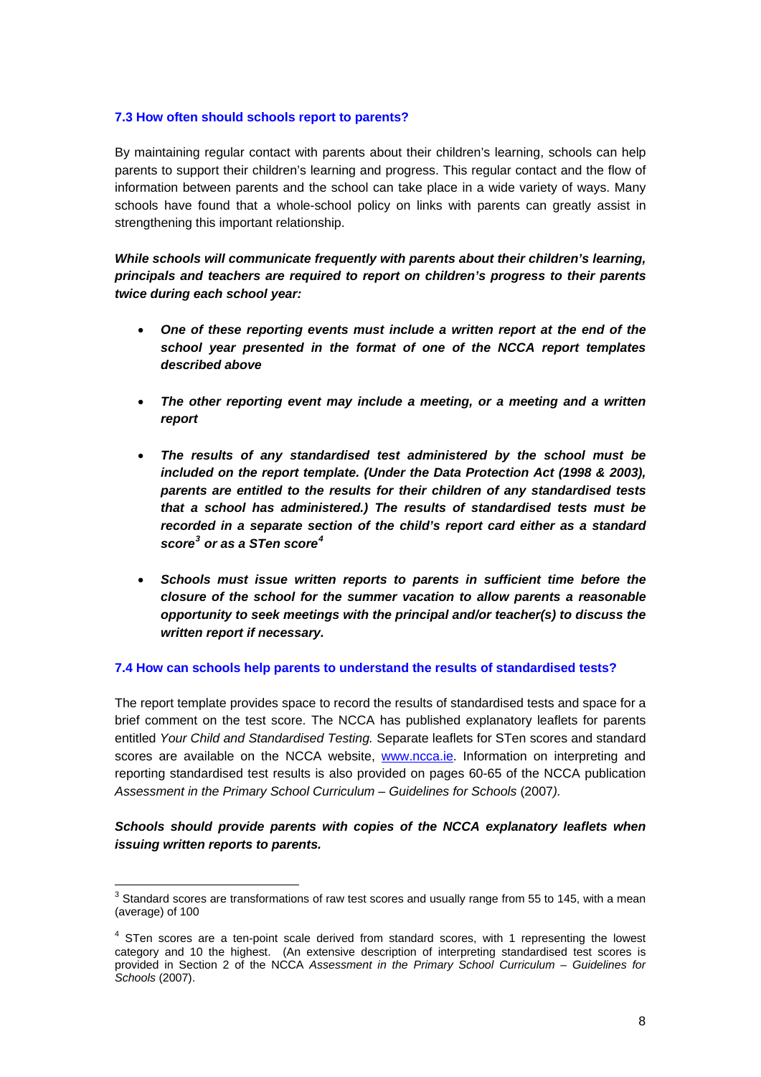### <span id="page-7-0"></span>**7.3 How often should schools report to parents?**

By maintaining regular contact with parents about their children's learning, schools can help parents to support their children's learning and progress. This regular contact and the flow of information between parents and the school can take place in a wide variety of ways. Many schools have found that a whole-school policy on links with parents can greatly assist in strengthening this important relationship.

*While schools will communicate frequently with parents about their children's learning, principals and teachers are required to report on children's progress to their parents twice during each school year:* 

- *One of these reporting events must include a written report at the end of the school year presented in the format of one of the NCCA report templates described above*
- *The other reporting event may include a meeting, or a meeting and a written report*
- *The results of any standardised test administered by the school must be included on the report template. (Under the Data Protection Act (1998 & 2003), parents are entitled to the results for their children of any standardised tests that a school has administered.) The results of standardised tests must be recorded in a separate section of the child's report card either as a standard score[3](#page-7-0) or as a STen score[4](#page-7-0)*
- *Schools must issue written reports to parents in sufficient time before the closure of the school for the summer vacation to allow parents a reasonable opportunity to seek meetings with the principal and/or teacher(s) to discuss the written report if necessary.*

#### **7.4 How can schools help parents to understand the results of standardised tests?**

The report template provides space to record the results of standardised tests and space for a brief comment on the test score. The NCCA has published explanatory leaflets for parents entitled *Your Child and Standardised Testing.* Separate leaflets for STen scores and standard scores are available on the NCCA website, [www.ncca.ie.](http://www.ncca.ie/) Information on interpreting and reporting standardised test results is also provided on pages 60-65 of the NCCA publication Assessment in the Primary School Curriculum – Guidelines for Schools (2007).

## *Schools should provide parents with copies of the NCCA explanatory leaflets when issuing written reports to parents.*

<sup>&</sup>lt;u>3</u><br><sup>3</sup> Standard scores are transformations of raw test scores and usually range from 55 to 145, with a mean (average) of 100

 $4$  STen scores are a ten-point scale derived from standard scores, with 1 representing the lowest category and 10 the highest. (An extensive description of interpreting standardised test scores is provided in Section 2 of the NCCA *Assessment in the Primary School Curriculum – Guidelines for Schools* (2007).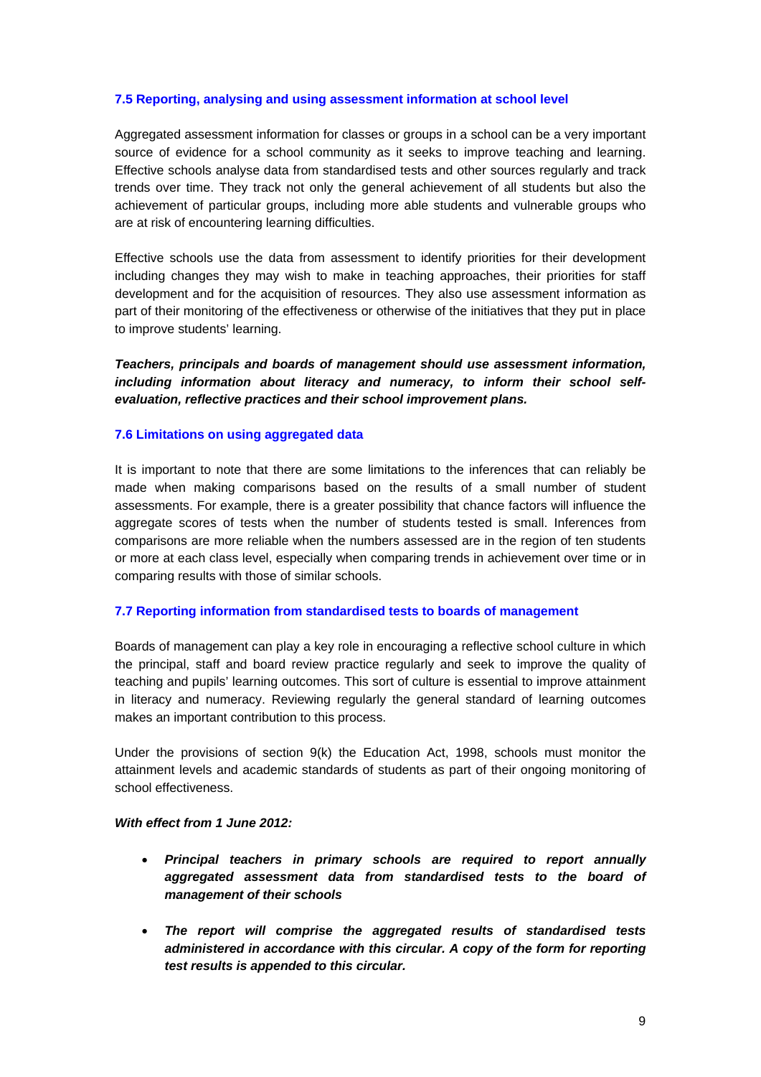### **7.5 Reporting, analysing and using assessment information at school level**

Aggregated assessment information for classes or groups in a school can be a very important source of evidence for a school community as it seeks to improve teaching and learning. Effective schools analyse data from standardised tests and other sources regularly and track trends over time. They track not only the general achievement of all students but also the achievement of particular groups, including more able students and vulnerable groups who are at risk of encountering learning difficulties.

Effective schools use the data from assessment to identify priorities for their development including changes they may wish to make in teaching approaches, their priorities for staff development and for the acquisition of resources. They also use assessment information as part of their monitoring of the effectiveness or otherwise of the initiatives that they put in place to improve students' learning.

*Teachers, principals and boards of management should use assessment information, including information about literacy and numeracy, to inform their school selfevaluation, reflective practices and their school improvement plans.*

#### **7.6 Limitations on using aggregated data**

It is important to note that there are some limitations to the inferences that can reliably be made when making comparisons based on the results of a small number of student assessments. For example, there is a greater possibility that chance factors will influence the aggregate scores of tests when the number of students tested is small. Inferences from comparisons are more reliable when the numbers assessed are in the region of ten students or more at each class level, especially when comparing trends in achievement over time or in comparing results with those of similar schools.

#### **7.7 Reporting information from standardised tests to boards of management**

Boards of management can play a key role in encouraging a reflective school culture in which the principal, staff and board review practice regularly and seek to improve the quality of teaching and pupils' learning outcomes. This sort of culture is essential to improve attainment in literacy and numeracy. Reviewing regularly the general standard of learning outcomes makes an important contribution to this process.

Under the provisions of section 9(k) the Education Act, 1998, schools must monitor the attainment levels and academic standards of students as part of their ongoing monitoring of school effectiveness.

#### *With effect from 1 June 2012:*

- *Principal teachers in primary schools are required to report annually aggregated assessment data from standardised tests to the board of management of their schools*
- *The report will comprise the aggregated results of standardised tests administered in accordance with this circular. A copy of the form for reporting test results is appended to this circular.*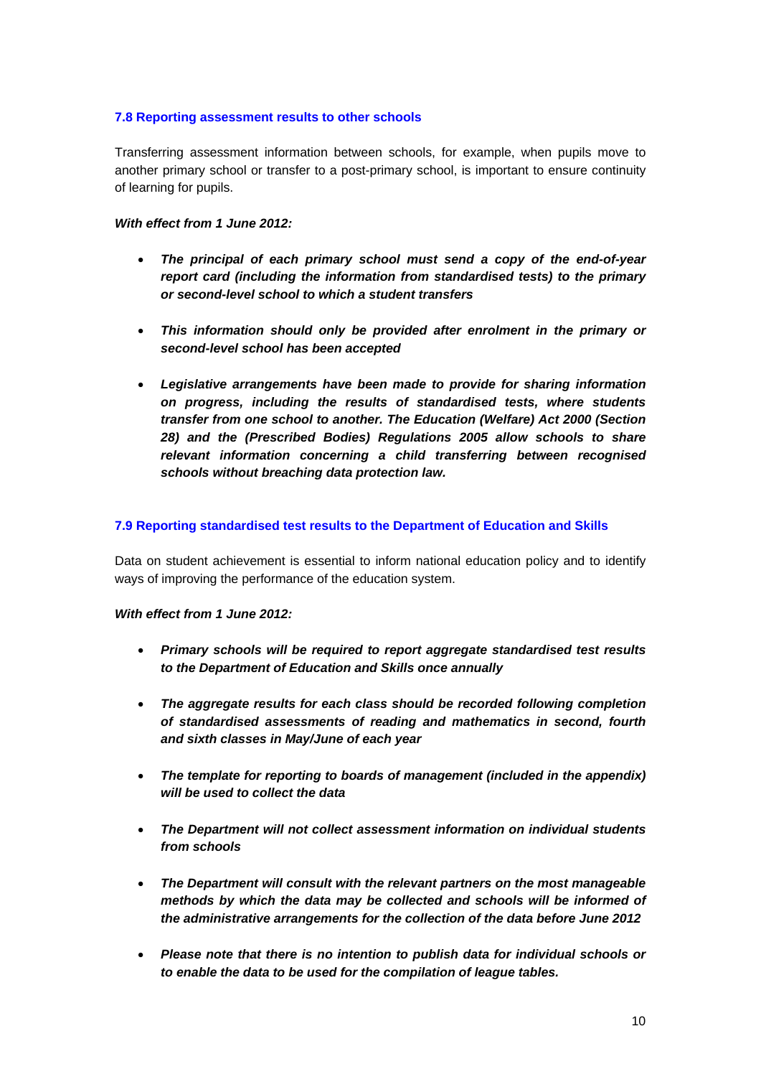## **7.8 Reporting assessment results to other schools**

Transferring assessment information between schools, for example, when pupils move to another primary school or transfer to a post-primary school, is important to ensure continuity of learning for pupils.

## *With effect from 1 June 2012:*

- *The principal of each primary school must send a copy of the end-of-year report card (including the information from standardised tests) to the primary or second-level school to which a student transfers*
- *This information should only be provided after enrolment in the primary or second-level school has been accepted*
- *Legislative arrangements have been made to provide for sharing information on progress, including the results of standardised tests, where students transfer from one school to another. The Education (Welfare) Act 2000 (Section 28) and the (Prescribed Bodies) Regulations 2005 allow schools to share relevant information concerning a child transferring between recognised schools without breaching data protection law.*

## **7.9 Reporting standardised test results to the Department of Education and Skills**

Data on student achievement is essential to inform national education policy and to identify ways of improving the performance of the education system.

## *With effect from 1 June 2012:*

- *Primary schools will be required to report aggregate standardised test results to the Department of Education and Skills once annually*
- *The aggregate results for each class should be recorded following completion of standardised assessments of reading and mathematics in second, fourth and sixth classes in May/June of each year*
- *The template for reporting to boards of management (included in the appendix) will be used to collect the data*
- *The Department will not collect assessment information on individual students from schools*
- *The Department will consult with the relevant partners on the most manageable methods by which the data may be collected and schools will be informed of the administrative arrangements for the collection of the data before June 2012*
- *Please note that there is no intention to publish data for individual schools or to enable the data to be used for the compilation of league tables.*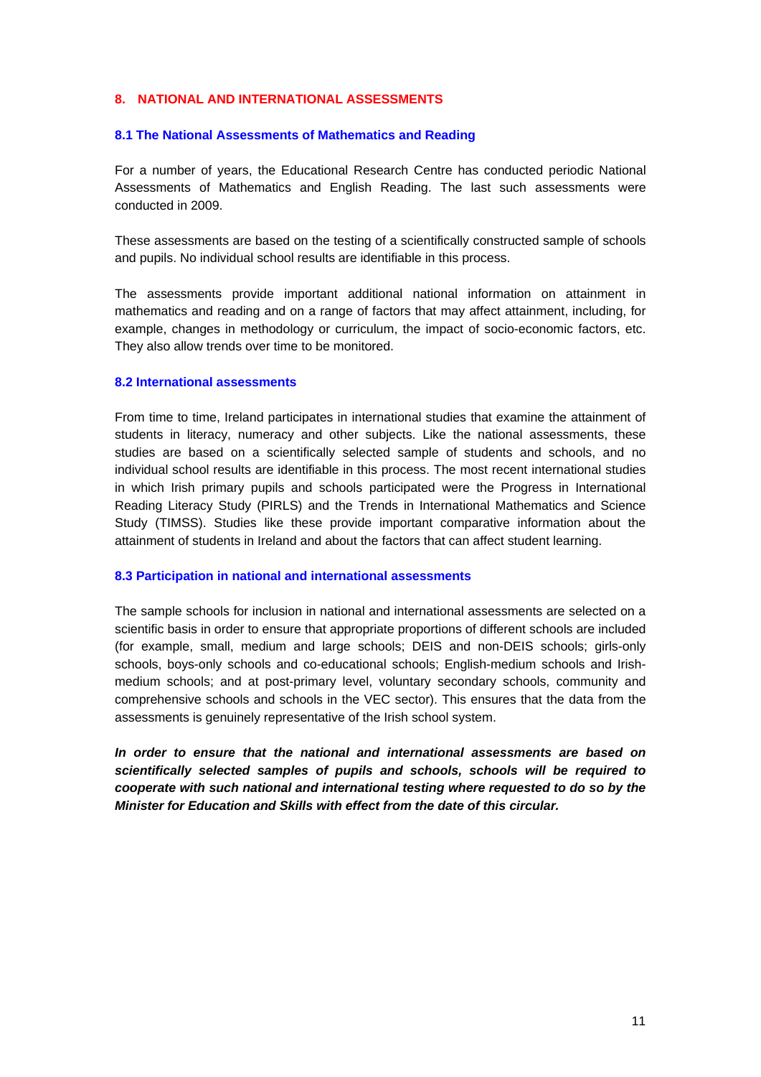## **8. NATIONAL AND INTERNATIONAL ASSESSMENTS**

### **8.1 The National Assessments of Mathematics and Reading**

For a number of years, the Educational Research Centre has conducted periodic National Assessments of Mathematics and English Reading. The last such assessments were conducted in 2009.

These assessments are based on the testing of a scientifically constructed sample of schools and pupils. No individual school results are identifiable in this process.

The assessments provide important additional national information on attainment in mathematics and reading and on a range of factors that may affect attainment, including, for example, changes in methodology or curriculum, the impact of socio-economic factors, etc. They also allow trends over time to be monitored.

#### **8.2 International assessments**

From time to time, Ireland participates in international studies that examine the attainment of students in literacy, numeracy and other subjects. Like the national assessments, these studies are based on a scientifically selected sample of students and schools, and no individual school results are identifiable in this process. The most recent international studies in which Irish primary pupils and schools participated were the Progress in International Reading Literacy Study (PIRLS) and the Trends in International Mathematics and Science Study (TIMSS). Studies like these provide important comparative information about the attainment of students in Ireland and about the factors that can affect student learning.

#### **8.3 Participation in national and international assessments**

The sample schools for inclusion in national and international assessments are selected on a scientific basis in order to ensure that appropriate proportions of different schools are included (for example, small, medium and large schools; DEIS and non-DEIS schools; girls-only schools, boys-only schools and co-educational schools; English-medium schools and Irishmedium schools; and at post-primary level, voluntary secondary schools, community and comprehensive schools and schools in the VEC sector). This ensures that the data from the assessments is genuinely representative of the Irish school system.

*In order to ensure that the national and international assessments are based on scientifically selected samples of pupils and schools, schools will be required to cooperate with such national and international testing where requested to do so by the Minister for Education and Skills with effect from the date of this circular.*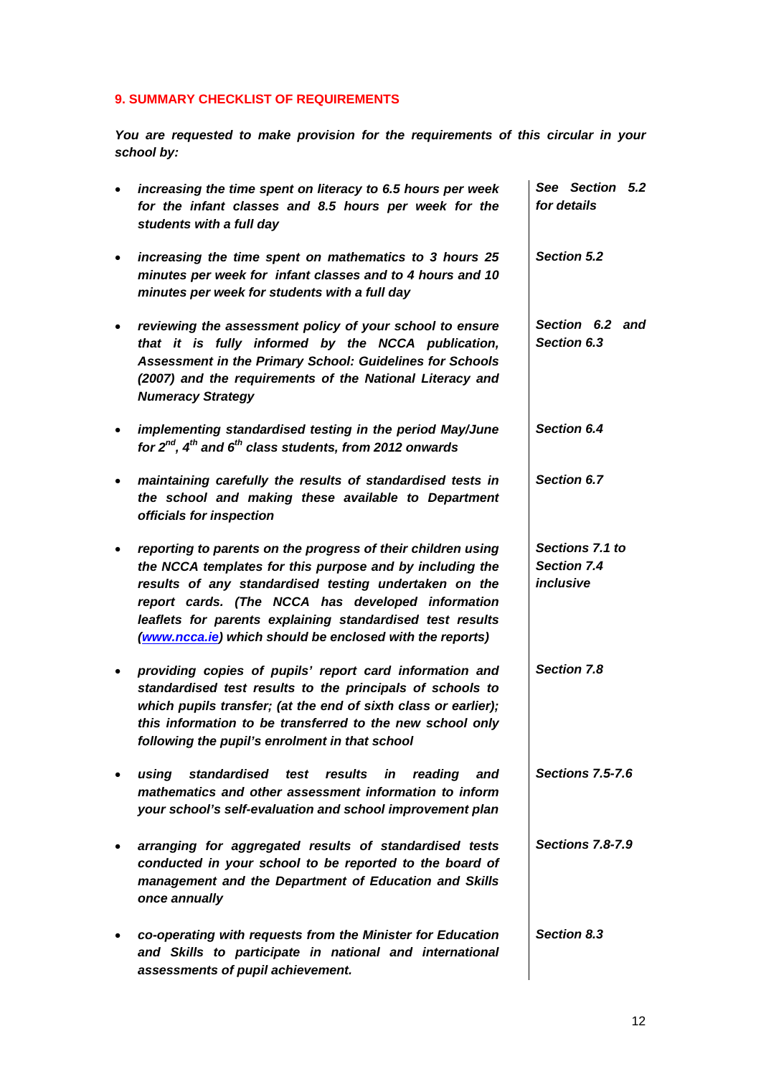# **9. SUMMARY CHECKLIST OF REQUIREMENTS**

*You are requested to make provision for the requirements of this circular in your school by:* 

| $\bullet$ | increasing the time spent on literacy to 6.5 hours per week<br>for the infant classes and 8.5 hours per week for the<br>students with a full day                                                                                                                                                                                                                | See Section 5.2<br>for details              |
|-----------|-----------------------------------------------------------------------------------------------------------------------------------------------------------------------------------------------------------------------------------------------------------------------------------------------------------------------------------------------------------------|---------------------------------------------|
| $\bullet$ | increasing the time spent on mathematics to 3 hours 25<br>minutes per week for infant classes and to 4 hours and 10<br>minutes per week for students with a full day                                                                                                                                                                                            | Section 5.2                                 |
|           | reviewing the assessment policy of your school to ensure<br>that it is fully informed by the NCCA publication,<br>Assessment in the Primary School: Guidelines for Schools<br>(2007) and the requirements of the National Literacy and<br><b>Numeracy Strategy</b>                                                                                              | Section 6.2 and<br>Section 6.3              |
| $\bullet$ | implementing standardised testing in the period May/June<br>for $2^{nd}$ , $4^{th}$ and $6^{th}$ class students, from 2012 onwards                                                                                                                                                                                                                              | Section 6.4                                 |
|           | maintaining carefully the results of standardised tests in<br>the school and making these available to Department<br>officials for inspection                                                                                                                                                                                                                   | Section 6.7                                 |
|           | reporting to parents on the progress of their children using<br>the NCCA templates for this purpose and by including the<br>results of any standardised testing undertaken on the<br>report cards. (The NCCA has developed information<br>leaflets for parents explaining standardised test results<br>(www.ncca.ie) which should be enclosed with the reports) | Sections 7.1 to<br>Section 7.4<br>inclusive |
|           | providing copies of pupils' report card information and<br>standardised test results to the principals of schools to<br>which pupils transfer; (at the end of sixth class or earlier);<br>this information to be transferred to the new school only<br>following the pupil's enrolment in that school                                                           | Section 7.8                                 |
|           | standardised test results in<br>reading<br>using<br>and<br>mathematics and other assessment information to inform<br>your school's self-evaluation and school improvement plan                                                                                                                                                                                  | <b>Sections 7.5-7.6</b>                     |
|           | arranging for aggregated results of standardised tests<br>conducted in your school to be reported to the board of<br>management and the Department of Education and Skills<br>once annually                                                                                                                                                                     | <b>Sections 7.8-7.9</b>                     |
|           | co-operating with requests from the Minister for Education<br>and Skills to participate in national and international<br>assessments of pupil achievement.                                                                                                                                                                                                      | Section 8.3                                 |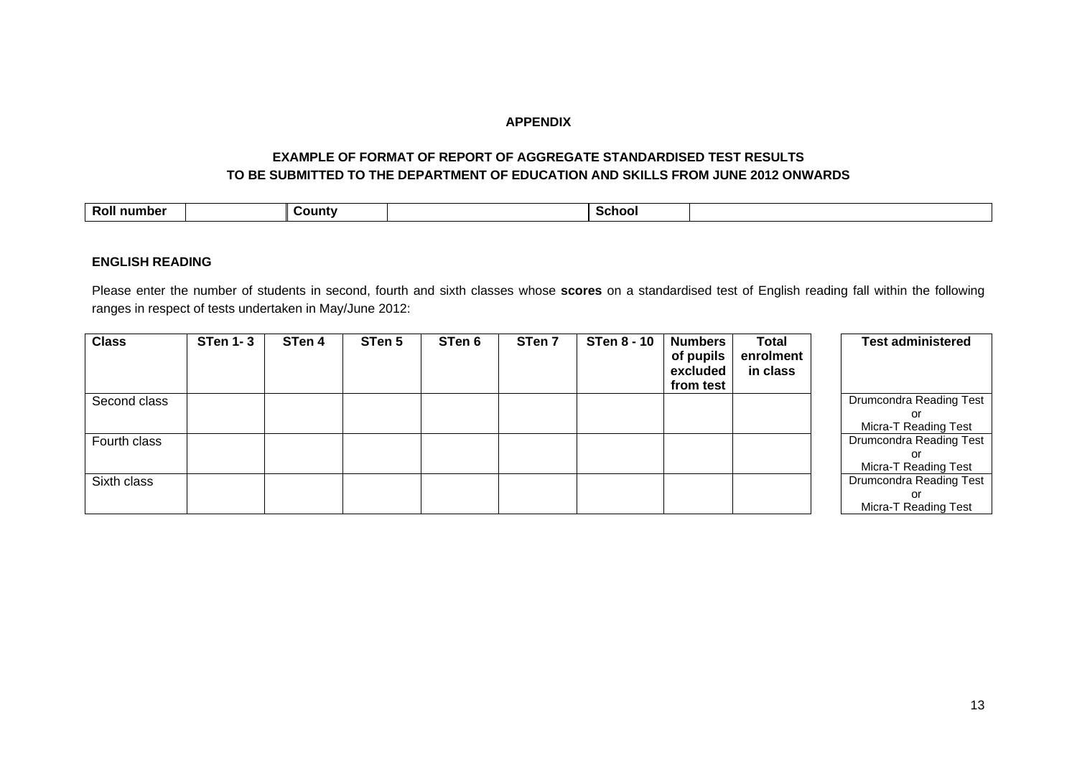## **APPENDIX**

## **EXAMPLE OF FORMAT OF REPORT OF AGGREGATE STANDARDISED TEST RESULTS TO BE SUBMITTED TO THE DEPARTMENT OF EDUCATION AND SKILLS FROM JUNE 2012 ONWARDS**

| <b>Roll</b><br>∴∩unt∨ | scnoc |
|-----------------------|-------|
|-----------------------|-------|

### **ENGLISH READING**

Please enter the number of students in second, fourth and sixth classes whose **scores** on a standardised test of English reading fall within the following ranges in respect of tests undertaken in May/June 2012:

| <b>Class</b> | <b>STen 1-3</b> | STen 4 | STen 5 | STen 6 | STen 7 | <b>STen 8 - 10</b> | <b>Numbers</b><br>of pupils<br>excluded<br>from test | Total<br>enrolment<br>in class | <b>Test administered</b> |
|--------------|-----------------|--------|--------|--------|--------|--------------------|------------------------------------------------------|--------------------------------|--------------------------|
| Second class |                 |        |        |        |        |                    |                                                      |                                | Drumcondra Reading Test  |
|              |                 |        |        |        |        |                    |                                                      |                                | or                       |
|              |                 |        |        |        |        |                    |                                                      |                                | Micra-T Reading Test     |
| Fourth class |                 |        |        |        |        |                    |                                                      |                                | Drumcondra Reading Test  |
|              |                 |        |        |        |        |                    |                                                      |                                | or                       |
|              |                 |        |        |        |        |                    |                                                      |                                | Micra-T Reading Test     |
| Sixth class  |                 |        |        |        |        |                    |                                                      |                                | Drumcondra Reading Test  |
|              |                 |        |        |        |        |                    |                                                      |                                | or                       |
|              |                 |        |        |        |        |                    |                                                      |                                | Micra-T Reading Test     |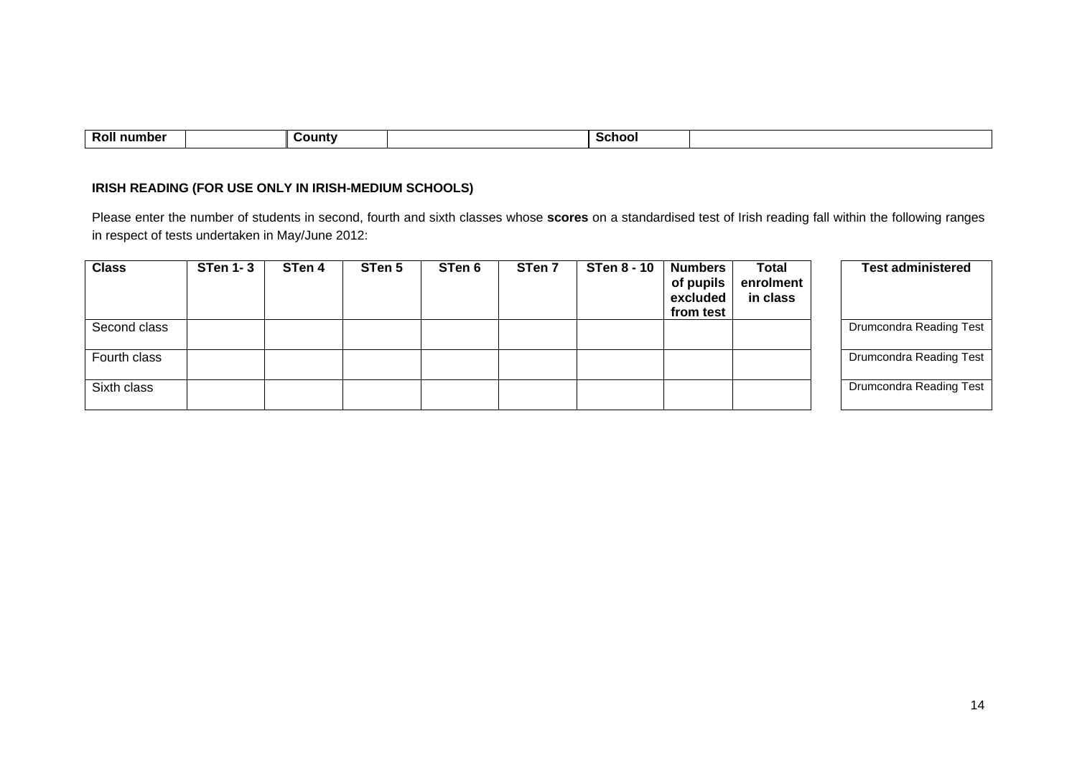| . .<br>--<br>number<br>KVI) |  | ∶ountv |  | Schoo. |  |
|-----------------------------|--|--------|--|--------|--|
|-----------------------------|--|--------|--|--------|--|

## **IRISH READING (FOR USE ONLY IN IRISH-MEDIUM SCHOOLS)**

Please enter the number of students in second, fourth and sixth classes whose **scores** on a standardised test of Irish reading fall within the following ranges in respect of tests undertaken in May/June 2012:

| <b>Class</b> | <b>STen 1-3</b> | STen 4 | STen 5 | STen 6 | STen 7 | <b>STen 8 - 10</b> | <b>Numbers</b><br>of pupils<br>excluded<br>from test | <b>Total</b><br>enrolment<br>in class | <b>Test administered</b> |
|--------------|-----------------|--------|--------|--------|--------|--------------------|------------------------------------------------------|---------------------------------------|--------------------------|
| Second class |                 |        |        |        |        |                    |                                                      |                                       | Drumcondra Reading Test  |
| Fourth class |                 |        |        |        |        |                    |                                                      |                                       | Drumcondra Reading Test  |
| Sixth class  |                 |        |        |        |        |                    |                                                      |                                       | Drumcondra Reading Test  |